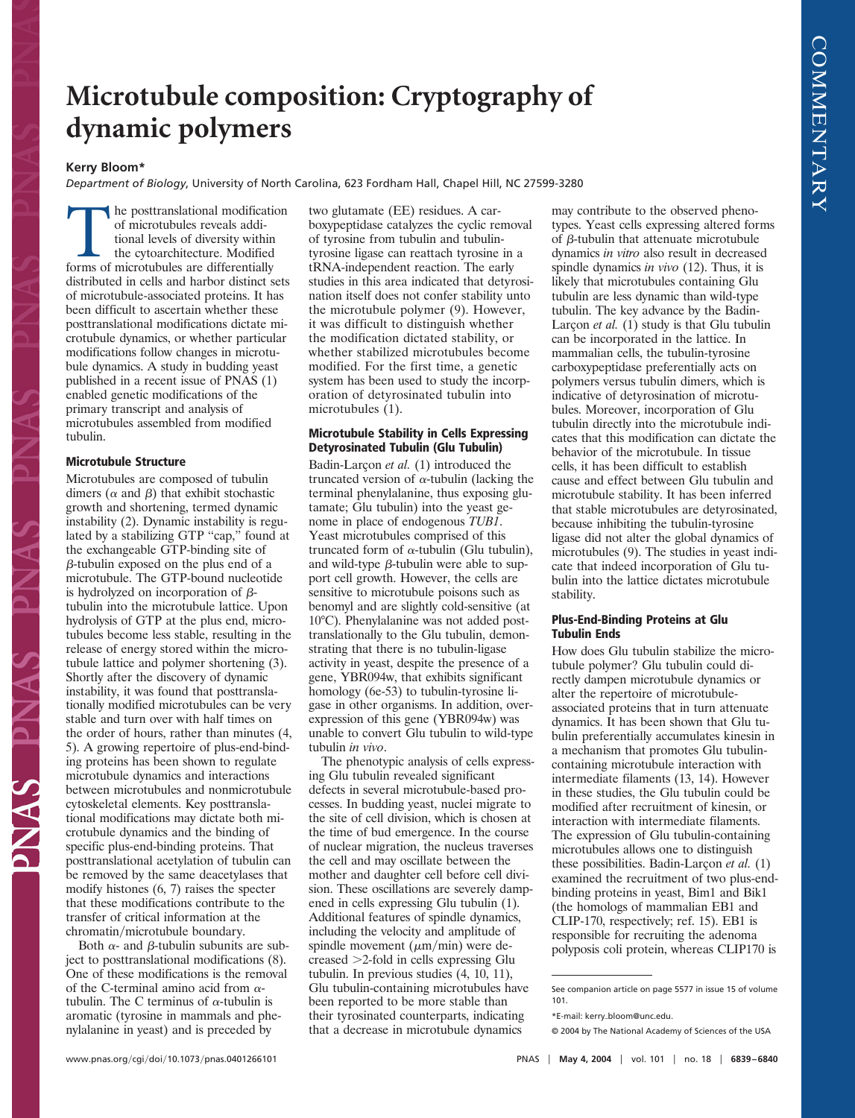# **Microtubule composition: Cryptography of dynamic polymers**

## **Kerry Bloom\***

*Department of Biology*, University of North Carolina, 623 Fordham Hall, Chapel Hill, NC 27599-3280

The posttranslational modification<br>of microtubules reveals addi-<br>tional levels of diversity within<br>the cytoarchitecture. Modified<br>forms of microtubules are differentially of microtubules reveals additional levels of diversity within the cytoarchitecture. Modified distributed in cells and harbor distinct sets of microtubule-associated proteins. It has been difficult to ascertain whether these posttranslational modifications dictate microtubule dynamics, or whether particular modifications follow changes in microtubule dynamics. A study in budding yeast published in a recent issue of PNAS (1) enabled genetic modifications of the primary transcript and analysis of microtubules assembled from modified tubulin.

# **Microtubule Structure**

Microtubules are composed of tubulin dimers ( $\alpha$  and  $\beta$ ) that exhibit stochastic growth and shortening, termed dynamic instability (2). Dynamic instability is regulated by a stabilizing GTP "cap," found at the exchangeable GTP-binding site of  $\beta$ -tubulin exposed on the plus end of a microtubule. The GTP-bound nucleotide is hydrolyzed on incorporation of  $\beta$ tubulin into the microtubule lattice. Upon hydrolysis of GTP at the plus end, microtubules become less stable, resulting in the release of energy stored within the microtubule lattice and polymer shortening (3). Shortly after the discovery of dynamic instability, it was found that posttranslationally modified microtubules can be very stable and turn over with half times on the order of hours, rather than minutes (4, 5). A growing repertoire of plus-end-binding proteins has been shown to regulate microtubule dynamics and interactions between microtubules and nonmicrotubule cytoskeletal elements. Key posttranslational modifications may dictate both microtubule dynamics and the binding of specific plus-end-binding proteins. That posttranslational acetylation of tubulin can be removed by the same deacetylases that modify histones (6, 7) raises the specter that these modifications contribute to the transfer of critical information at the chromatin/microtubule boundary.

Both  $\alpha$ - and  $\beta$ -tubulin subunits are subject to posttranslational modifications (8). One of these modifications is the removal of the C-terminal amino acid from  $\alpha$ tubulin. The C terminus of  $\alpha$ -tubulin is aromatic (tyrosine in mammals and phenylalanine in yeast) and is preceded by

two glutamate (EE) residues. A carboxypeptidase catalyzes the cyclic removal of tyrosine from tubulin and tubulintyrosine ligase can reattach tyrosine in a tRNA-independent reaction. The early studies in this area indicated that detyrosination itself does not confer stability unto the microtubule polymer (9). However, it was difficult to distinguish whether the modification dictated stability, or whether stabilized microtubules become modified. For the first time, a genetic system has been used to study the incorporation of detyrosinated tubulin into microtubules (1).

## **Microtubule Stability in Cells Expressing Detyrosinated Tubulin (Glu Tubulin)**

Badin-Larcon *et al.* (1) introduced the truncated version of  $\alpha$ -tubulin (lacking the terminal phenylalanine, thus exposing glutamate; Glu tubulin) into the yeast genome in place of endogenous *TUB1*. Yeast microtubules comprised of this truncated form of  $\alpha$ -tubulin (Glu tubulin), and wild-type  $\beta$ -tubulin were able to support cell growth. However, the cells are sensitive to microtubule poisons such as benomyl and are slightly cold-sensitive (at 10°C). Phenylalanine was not added posttranslationally to the Glu tubulin, demonstrating that there is no tubulin-ligase activity in yeast, despite the presence of a gene, YBR094w, that exhibits significant homology (6e-53) to tubulin-tyrosine ligase in other organisms. In addition, overexpression of this gene (YBR094w) was unable to convert Glu tubulin to wild-type tubulin *in vivo*.

The phenotypic analysis of cells expressing Glu tubulin revealed significant defects in several microtubule-based processes. In budding yeast, nuclei migrate to the site of cell division, which is chosen at the time of bud emergence. In the course of nuclear migration, the nucleus traverses the cell and may oscillate between the mother and daughter cell before cell division. These oscillations are severely dampened in cells expressing Glu tubulin (1). Additional features of spindle dynamics, including the velocity and amplitude of spindle movement  $(\mu m/min)$  were decreased 2-fold in cells expressing Glu tubulin. In previous studies (4, 10, 11), Glu tubulin-containing microtubules have been reported to be more stable than their tyrosinated counterparts, indicating that a decrease in microtubule dynamics

may contribute to the observed phenotypes. Yeast cells expressing altered forms of  $\beta$ -tubulin that attenuate microtubule dynamics *in vitro* also result in decreased spindle dynamics *in vivo* (12). Thus, it is likely that microtubules containing Glu tubulin are less dynamic than wild-type tubulin. The key advance by the Badin-Larçon *et al.* (1) study is that Glu tubulin can be incorporated in the lattice. In mammalian cells, the tubulin-tyrosine carboxypeptidase preferentially acts on polymers versus tubulin dimers, which is indicative of detyrosination of microtubules. Moreover, incorporation of Glu tubulin directly into the microtubule indicates that this modification can dictate the behavior of the microtubule. In tissue cells, it has been difficult to establish cause and effect between Glu tubulin and microtubule stability. It has been inferred that stable microtubules are detyrosinated, because inhibiting the tubulin-tyrosine ligase did not alter the global dynamics of microtubules (9). The studies in yeast indicate that indeed incorporation of Glu tubulin into the lattice dictates microtubule stability.

## **Plus-End-Binding Proteins at Glu Tubulin Ends**

How does Glu tubulin stabilize the microtubule polymer? Glu tubulin could directly dampen microtubule dynamics or alter the repertoire of microtubuleassociated proteins that in turn attenuate dynamics. It has been shown that Glu tubulin preferentially accumulates kinesin in a mechanism that promotes Glu tubulincontaining microtubule interaction with intermediate filaments (13, 14). However in these studies, the Glu tubulin could be modified after recruitment of kinesin, or interaction with intermediate filaments. The expression of Glu tubulin-containing microtubules allows one to distinguish these possibilities. Badin-Larcon *et al.* (1) examined the recruitment of two plus-endbinding proteins in yeast, Bim1 and Bik1 (the homologs of mammalian EB1 and CLIP-170, respectively; ref. 15). EB1 is responsible for recruiting the adenoma polyposis coli protein, whereas CLIP170 is

See companion article on page 5577 in issue 15 of volume 101.

<sup>\*</sup>E-mail: kerrybloom@unc.edu.

<sup>© 2004</sup> by The National Academy of Sciences of the USA